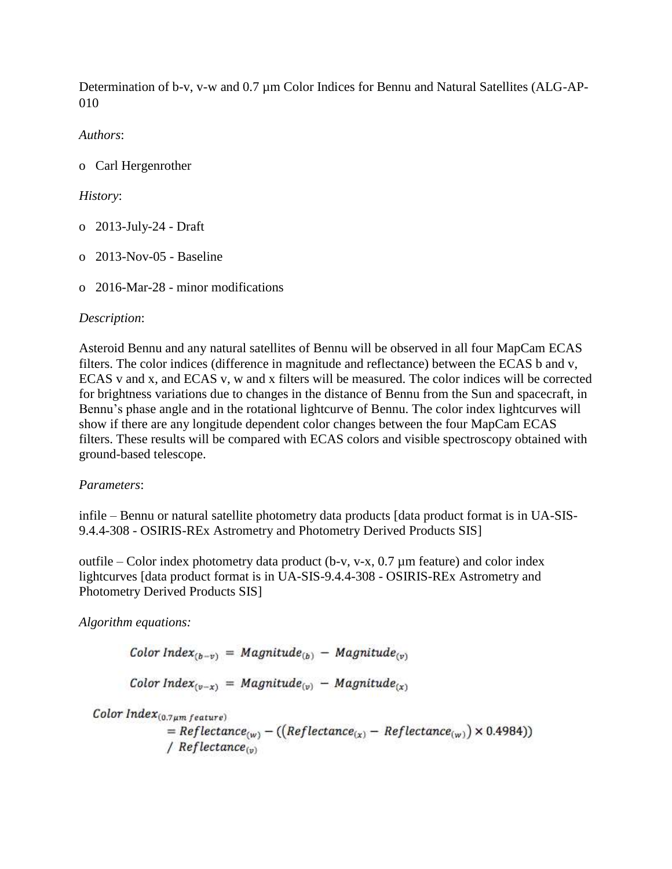Determination of b-v, v-w and 0.7 µm Color Indices for Bennu and Natural Satellites (ALG-AP-010

*Authors*:

o Carl Hergenrother

## *History*:

- o 2013-July-24 Draft
- o 2013-Nov-05 Baseline
- o 2016-Mar-28 minor modifications

## *Description*:

Asteroid Bennu and any natural satellites of Bennu will be observed in all four MapCam ECAS filters. The color indices (difference in magnitude and reflectance) between the ECAS b and v, ECAS v and x, and ECAS v, w and x filters will be measured. The color indices will be corrected for brightness variations due to changes in the distance of Bennu from the Sun and spacecraft, in Bennu's phase angle and in the rotational lightcurve of Bennu. The color index lightcurves will show if there are any longitude dependent color changes between the four MapCam ECAS filters. These results will be compared with ECAS colors and visible spectroscopy obtained with ground-based telescope.

## *Parameters*:

infile – Bennu or natural satellite photometry data products [data product format is in UA-SIS-9.4.4-308 - OSIRIS-REx Astrometry and Photometry Derived Products SIS]

outfile – Color index photometry data product (b-v, v-x, 0.7 µm feature) and color index lightcurves [data product format is in UA-SIS-9.4.4-308 - OSIRIS-REx Astrometry and Photometry Derived Products SIS]

*Algorithm equations:*

Color Index<sub>(b-v)</sub> = Magnitude<sub>(b)</sub> - Magnitude<sub>(v)</sub>

Color Index<sub>(v-x)</sub> = Magnitude<sub>(v)</sub> - Magnitude<sub>(x)</sub>

Color  $Index_{(0.7\mu m \text{ feature})}$ 

 $=$  Reflectance<sub>(w)</sub> – ((Reflectance<sub>(x)</sub> – Reflectance<sub>(w)</sub>)  $\times$  0.4984)) /  $Reference_{(v)}$